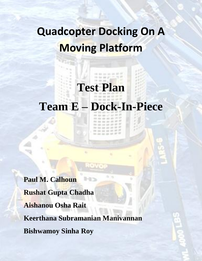# **Quadcopter Docking On A Moving Platform**

# **Test Plan**

------------

# **Team E – Dock-In-Piece**

THE ARE AND AND AND ARE AT 00 10 10 10 10 17 18 The first day and also list 22  $10.01$  at at at at  $M$   $\frac{M}{m}$ -------

**Paul M. Calhoun Rushat Gupta Chadha Aishanou Osha Rait Keerthana Subramanian Manivannan Bishwamoy Sinha Roy**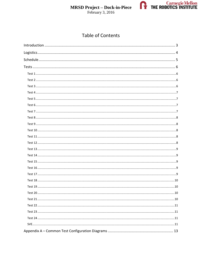



# **Table of Contents**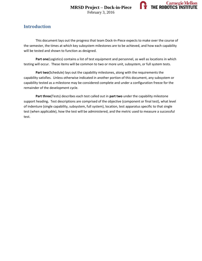

# **Introduction**

This document lays out the progress that team Dock-In-Piece expects to make over the course of the semester, the times at which key subsystem milestones are to be achieved, and how each capability will be tested and shown to function as designed.

**Part one**(Logistics) contains a list of test equipment and personnel, as well as locations in which testing will occur. These items will be common to two or more unit, subsystem, or full system tests.

**Part two**(Schedule) lays out the capability milestones, along with the requirements the capability satisfies. Unless otherwise indicated in another portion of this document, any subsystem or capability tested as a milestone may be considered complete and under a configuration freeze for the remainder of the development cycle.

**Part three**(Tests) describes each test called out in **part two** under the capability milestone support heading**.** Test descriptions are comprised of the objective (component or final test), what level of indenture (single capability, subsystem, full system), location, test apparatus specific to that single test (when applicable), how the test will be administered, and the metric used to measure a successful test.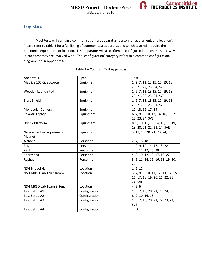

# **Logistics**

Most tests will contain a common set of test apparatus (personnel, equipment, and location). Please refer to table 1 for a full listing of common test apparatus and which tests will require the personnel, equipment, or location. Test apparatus will also often be configured in much the same way in each test they are involved with. The 'configuration' category refers to a common configuration, diagrammed in Appendix A.

| Apparatus                  | <b>Type</b>   | Test                                |
|----------------------------|---------------|-------------------------------------|
| Matrice 100 Quadcopter     | Equipment     | 1, 2, 7, 12, 13 15, 17, 19, 18,     |
|                            |               | 20, 21, 22, 23, 24, SVE             |
| Wooden Launch Pad          | Equipment     | 1, 2, 7, 12, 13 15, 17, 19, 18,     |
|                            |               | 20, 21, 22, 23, 24, SVE             |
| <b>Blast Shield</b>        | Equipment     | 1, 2, 7, 12, 13 15, 17, 19, 18,     |
|                            |               | 20, 21, 22, 23, 24, SVE             |
| Monocular Camera           | Equipment     | 10, 13, 16, 17, 19                  |
| Palantir Laptop            | Equipment     | 6, 7, 8, 9, 10, 13, 14, 16, 18, 21, |
|                            |               | 22, 23, 24, SVE                     |
| Dock / Platform            | Equipment     | 8, 9, 10, 11, 13, 14, 16, 17, 19,   |
|                            |               | 18, 20, 21, 22, 23, 24, SVE         |
| Nicadrone Electropermanent | Equipment     | 3, 11, 15, 20, 21, 23, 24, SVE      |
| Magnet                     |               |                                     |
| Aishanou                   | Personnel     | 2, 7, 16, 18                        |
| Roy                        | Personnel     | 1, 2, 9, 10, 14, 17, 18, 22         |
| Paul                       | Personnel     | 3, 5, 11, 12, 15, 20                |
| Keerthana                  | Personnel     | 4, 8, 10, 12, 13, 17, 19, 22        |
| Rushat                     | Personnel     | 3, 9, 11, 14, 15, 16, 18, 19, 20,   |
|                            |               | 22                                  |
| <b>NSH B-level Hall</b>    | Location      | 1, 2, 12                            |
| NSH MRSD Lab Third Room    | Location      | 3, 7, 8, 9, 10, 11, 12, 13, 14, 15, |
|                            |               | 16, 17, 18, 19, 20, 21, 22, 23,     |
|                            |               | 24, SVE                             |
| NSH MRSD Lab Team E Bench  | Location      | 4, 5, 6                             |
| Test Setup A1              | Configuration | 13, 17, 19, 20, 21, 23, 24, SVE     |
| Test Setup A2              | Configuration | 8, 9, 10, 16, 18                    |
| Test Setup A3              | Configuration | 13, 17, 19, 20, 21, 22, 23, 24,     |
|                            |               | <b>SVE</b>                          |
| Test Setup A4              | Configuration | <b>TBD</b>                          |

#### Table 1 – Common Test Apparatus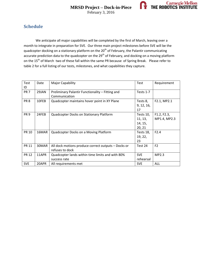

# **Schedule**

We anticipate all major capabilities will be completed by the first of March, leaving over a month to integrate in preparation for SVE. Our three main project milestones before SVE will be the quadcopter docking on a stationary platform on the 20<sup>th</sup> of February, the Palantir communicating accurate prediction data to the quadcopter on the 29<sup>th</sup> of February, and docking on a moving platform on the 15<sup>th</sup> of March two of these fall within the same PR because of Spring Break. Please refer to table 2 for a full listing of our tests, milestones, and what capabilities they capture.

| Test            | Date  | <b>Major Capability</b>                             | Test       | Requirement    |
|-----------------|-------|-----------------------------------------------------|------------|----------------|
| ID              |       |                                                     |            |                |
| PR <sub>7</sub> | 29JAN | Preliminary Palantir Functionality - Fitting and    | Tests 1-7  |                |
|                 |       | Communication                                       |            |                |
| PR <sub>8</sub> | 10FEB | Quadcopter maintains hover point in XY Plane        | Tests 8,   | F2.1, MP2.1    |
|                 |       |                                                     | 9, 12, 16, |                |
|                 |       |                                                     | 17         |                |
| PR <sub>9</sub> | 24FEB | Quadcopter Docks on Stationary Platform             | Tests 10,  | F1.2, F2.3,    |
|                 |       |                                                     | 11, 13,    | MP1.4, MP2.3   |
|                 |       |                                                     | 14, 15,    |                |
|                 |       |                                                     | 20, 21     |                |
| <b>PR 10</b>    | 16MAR | Quadcopter Docks on a Moving Platform               | Tests 18,  | F2.4           |
|                 |       |                                                     | 19, 22,    |                |
|                 |       |                                                     | 23         |                |
| <b>PR 11</b>    | 30MAR | All dock motions produce correct outputs - Docks or | Test 24    | F <sub>2</sub> |
|                 |       | refuses to dock                                     |            |                |
| <b>PR 12</b>    | 11APR | Quadcopter lands within time limits and with 80%    | <b>SVE</b> | MP2.3          |
|                 |       | success rate                                        | rehearsal  |                |
| <b>SVE</b>      | 20APR | All requirements met                                | <b>SVE</b> | <b>ALL</b>     |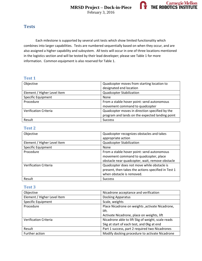

#### **Tests**

Each milestone is supported by several unit tests which show limited functionality which combines into larger capabilities. Tests are numbered sequentially based on when they occur, and are also assigned a higher capability and subsystem. All tests will occur in one of three locations mentioned in the logistics section and will be tested by their lead developer; please see Table 1 for more information. Common equipment is also reserved for Table 1.

#### **Test 1**

| Objective                   | Quadcopter moves from starting location to      |
|-----------------------------|-------------------------------------------------|
|                             | designated end location                         |
| Element / Higher Level Item | Quadcopter Stabilization                        |
| <b>Specific Equipment</b>   | <b>None</b>                                     |
| Procedure                   | From a stable hover point: send autonomous      |
|                             | movement command to quadcopter                  |
| Verification Criteria       | Quadcopter moves in direction specified by the  |
|                             | program and lands on the expected landing point |
| Result                      | <b>Success</b>                                  |

#### **Test 2**

| Objective                    | Quadcopter recognizes obstacles and takes                                                                                              |
|------------------------------|----------------------------------------------------------------------------------------------------------------------------------------|
|                              | appropriate action                                                                                                                     |
| Element / Higher Level Item  | Quadcopter Stabilization                                                                                                               |
| <b>Specific Equipment</b>    | None                                                                                                                                   |
| Procedure                    | From a stable hover point: send autonomous<br>movement command to quadcopter, place<br>obstacle near quadcopter, wait, remove obstacle |
| <b>Verification Criteria</b> | Quadcopter does not move while obstacle is<br>present, then takes the actions specified in Test 1<br>when obstacle is removed.         |
| Result                       | <b>Success</b>                                                                                                                         |

| Objective                   | Nicadrone acceptance and verification             |
|-----------------------------|---------------------------------------------------|
| Element / Higher Level Item | <b>Docking Apparatus</b>                          |
| <b>Specific Equipment</b>   | Scale, weights                                    |
| Procedure                   | Place Nicadrone on weights , activate Nicadrone,  |
|                             | lift.                                             |
|                             | Activate Nicadrone, place on weights, lift        |
| Verification Criteria       | Nicadrone able to lift 5kg of weight, scale reads |
|                             | 5kg at start of each test, and 0kg at end         |
| Result                      | Part 1 success, part 2 required two Nicadrones    |
| Further action              | Modify docking procedure to activate Nicadrone    |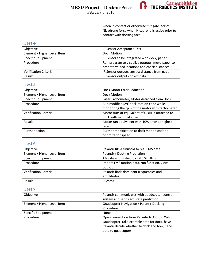February 3, 2016



| when in contact or otherwise mitigate lack of     |
|---------------------------------------------------|
| Nicadrone force when Nicadrone is active prior to |
| contact with docking face                         |

#### **Test 4**

| Objective                   | IR Sensor Acceptance Test                       |
|-----------------------------|-------------------------------------------------|
| Element / Higher Level Item | Dock Motion                                     |
| <b>Specific Equipment</b>   | IR Sensor to be integrated with dock, paper     |
| Procedure                   | Run program to visualize outputs, move paper to |
|                             | predetermined locations and check distances     |
| Verification Criteria       | IR Sensor outputs correct distance from paper   |
| Result                      | IR Sensor output correct data                   |

# **Test 5**

| Objective                   | Dock Motor Error Reduction                       |
|-----------------------------|--------------------------------------------------|
| Element / Higher Level Item | Dock Motion                                      |
| Specific Equipment          | Laser Tachometer, Motor detached from Dock       |
| Procedure                   | Run modified SVE dock motion code while          |
|                             | monitoring the rpm of the motor with tachometer  |
| Verification Criteria       | Motor runs at equivalent of 0.3Hz if attached to |
|                             | dock with minimal error                          |
| Result                      | Motor ran equivalent with 10% error at highest   |
|                             | rate                                             |
| Further action              | Further modification to dock motion code to      |
|                             | optimize for speed                               |

#### **Test 6**

| Objective                   | Palantir fits a sinusoid to real TMS data  |
|-----------------------------|--------------------------------------------|
| Element / Higher Level Item | Palantir / Docking Prediction              |
| <b>Specific Equipment</b>   | TMS data furnished by FMC Schilling        |
| Procedure                   | Import TMS motion data, run function, view |
|                             | output                                     |
| Verification Criteria       | Palantir finds dominant frequencies and    |
|                             | amplitudes                                 |
| Result                      | <b>Success</b>                             |

| Objective                   | Palantir communicates with quadcopter control  |
|-----------------------------|------------------------------------------------|
|                             | system and sends accurate prediction           |
| Element / Higher Level Item | Quadcopter Navigation / Palantir Docking       |
|                             | Procedure                                      |
| <b>Specific Equipment</b>   | None                                           |
| Procedure                   | Open connection from Palantir to Odroid Xu4 on |
|                             | Quadcopter, take example data for dock, have   |
|                             | Palantir decide whether to dock and how, send  |
|                             | data to quadcopter                             |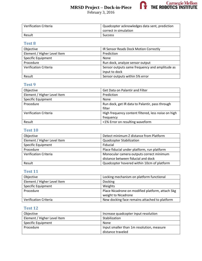February 3, 2016



| <b>Verification Criteria</b> | Quadcopter acknowledges data sent, prediction |
|------------------------------|-----------------------------------------------|
|                              | correct in simulation                         |
| Result                       | <b>Success</b>                                |

#### **Test 8**

| Objective                   | IR Sensor Reads Dock Motion Correctly          |
|-----------------------------|------------------------------------------------|
| Element / Higher Level Item | Prediction                                     |
| <b>Specific Equipment</b>   | None                                           |
| Procedure                   | Run dock, analyze sensor output                |
| Verification Criteria       | Sensor outputs same frequency and amplitude as |
|                             | input to dock                                  |
| Result                      | Sensor outputs within 5% error                 |

### **Test 9**

| Objective                   | <b>Get Data on Palantir and Filter</b>              |
|-----------------------------|-----------------------------------------------------|
| Element / Higher Level Item | Prediction                                          |
| <b>Specific Equipment</b>   | None                                                |
| Procedure                   | Run dock, get IR data to Palantir, pass through     |
|                             | filter                                              |
| Verification Criteria       | High frequency content filtered, less noise on high |
|                             | frequency                                           |
| Result                      | <1% Error on resulting waveform                     |

#### **Test 10**

| Objective                   | Detect minimum Z distance from Platform     |
|-----------------------------|---------------------------------------------|
| Element / Higher Level Item | <b>Quadcopter Stabilization</b>             |
| <b>Specific Equipment</b>   | Fiducial                                    |
| Procedure                   | Place fiducial under platform, run platform |
| Verification Criteria       | Monocular camera outputs correct minimum    |
|                             | distance between fiducial and dock          |
| Result                      | Quadcopter hovered within 10cm of platform  |

### **Test 11**

| Objective                   | Locking mechanism on platform functional         |
|-----------------------------|--------------------------------------------------|
| Element / Higher Level Item | <b>Docking</b>                                   |
| <b>Specific Equipment</b>   | Weights                                          |
| Procedure                   | Place Nicadrone on modified platform, attach 5kg |
|                             | weight to Nicadrone                              |
| Verification Criteria       | New docking face remains attached to platform    |

| Objective                   | Increase quadcopter input resolution      |
|-----------------------------|-------------------------------------------|
| Element / Higher Level Item | Stabilization                             |
| <b>Specific Equipment</b>   | None                                      |
| Procedure                   | Input smaller than 1m resolution, measure |
|                             | distance traveled                         |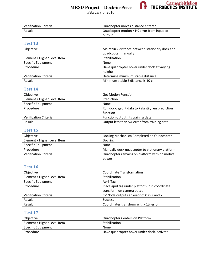



| Verification Criteria | Quadcopter moves distance entered         |
|-----------------------|-------------------------------------------|
| Result                | Quadcopter motion <1% error from input to |
|                       | output                                    |

#### **Test 13**

| Objective                   | Maintain Z distance between stationary dock and |
|-----------------------------|-------------------------------------------------|
|                             | quadcopter manually                             |
| Element / Higher Level Item | Stabilization                                   |
| <b>Specific Equipment</b>   | None                                            |
| Procedure                   | Have quadcopter hover under dock at varying     |
|                             | heights                                         |
| Verification Criteria       | Determine minimum stable distance               |
| Result                      | Minimum stable Z distance is 10 cm              |

#### **Test 14**

| Objective                   | <b>Get Motion Function</b>                        |
|-----------------------------|---------------------------------------------------|
| Element / Higher Level Item | Prediction                                        |
| Specific Equipment          | <b>None</b>                                       |
| Procedure                   | Run dock, get IR data to Palantir, run prediction |
|                             | function                                          |
| Verification Criteria       | Function output fits training data                |
| Result                      | Output less than 5% error from training data      |

#### **Test 15**

| Objective                    | Locking Mechanism Completed on Quadcopter       |
|------------------------------|-------------------------------------------------|
| Element / Higher Level Item  | <b>Docking</b>                                  |
| <b>Specific Equipment</b>    | None                                            |
| Procedure                    | Manually dock quadcopter to stationary platform |
| <b>Verification Criteria</b> | Quadcopter remains on platform with no motive   |
|                              | power                                           |

### **Test 16**

| Objective                    | <b>Coordinate Transformation</b>               |
|------------------------------|------------------------------------------------|
| Element / Higher Level Item  | Stabilization                                  |
| Specific Equipment           | April Tag                                      |
| Procedure                    | Place april tag under platform, run coordinate |
|                              | transform on camera outpt                      |
| <b>Verification Criteria</b> | CV Node outputs an error of 0 in X and Y       |
| Result                       | <b>Success</b>                                 |
| Result                       | Coordinates transform with <1% error           |

| Objective                   | Quadcopter Centers on Platform             |
|-----------------------------|--------------------------------------------|
| Element / Higher Level Item | Stabilization                              |
| <b>Specific Equipment</b>   | None                                       |
| Procedure                   | Have quadcopter hover under dock, activate |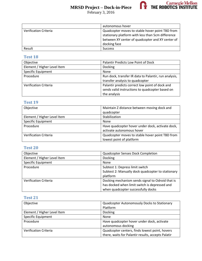



|                              | autonomous hover                                  |
|------------------------------|---------------------------------------------------|
| <b>Verification Criteria</b> | Quadcopter moves to stable hover point TBD from   |
|                              | stationary platform with less than 5cm difference |
|                              | between XY center of quadcopter and XY center of  |
|                              | docking face                                      |
| Result                       | <b>Success</b>                                    |

#### **Test 18**

| Objective                    | Palantir Predicts Low Point of Dock                                                                                |
|------------------------------|--------------------------------------------------------------------------------------------------------------------|
| Element / Higher Level Item  | Docking                                                                                                            |
| <b>Specific Equipment</b>    | None                                                                                                               |
| Procedure                    | Run dock, transfer IR data to Palantir, run analysis,<br>transfer analysis to quadcopter                           |
| <b>Verification Criteria</b> | Palantir predicts correct low point of dock and<br>sends valid instructions to quadcopter based on<br>the analysis |

#### **Test 19**

| Objective                   | Maintain Z distance between moving dock and      |
|-----------------------------|--------------------------------------------------|
|                             | quadcopter                                       |
| Element / Higher Level Item | Stabilization                                    |
| <b>Specific Equipment</b>   | None                                             |
| Procedure                   | Have quadcopter hover under dock, activate dock, |
|                             | activate autonomous hover                        |
| Verification Criteria       | Quadcopter moves to stable hover point TBD from  |
|                             | lowest point of platform                         |

# **Test 20**

| Objective                    | Quadcopter Senses Dock Completion                 |
|------------------------------|---------------------------------------------------|
| Element / Higher Level Item  | Docking                                           |
| <b>Specific Equipment</b>    | None                                              |
| Procedure                    | Subtest 1: Depress limit switch                   |
|                              | Subtest 2: Manually dock quadcopter to stationary |
|                              | platform                                          |
| <b>Verification Criteria</b> | Docking mechanism sends signal to Odroid that is  |
|                              | has docked when limit switch is depressed and     |
|                              | when quadcopter successfully docks                |

| Objective                   | Quadcopter Autonomously Docks to Stationary        |
|-----------------------------|----------------------------------------------------|
|                             | Platform                                           |
| Element / Higher Level Item | Docking                                            |
| Specific Equipment          | None                                               |
| Procedure                   | Have quadcopter hover under dock, activate         |
|                             | autonomous docking                                 |
| Verification Criteria       | Quadcopter centers, finds lowest point, hovers     |
|                             | there, waits for Palantir results, accepts Palatir |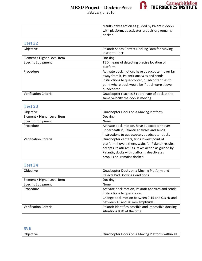



| results, takes action as guided by Palantir, docks |
|----------------------------------------------------|
| with platform, deactivates propulsion, remains     |
| docked                                             |

#### **Test 22**

| Objective                    | Palantir Sends Correct Docking Data for Moving  |
|------------------------------|-------------------------------------------------|
|                              | <b>Platform Dock</b>                            |
| Element / Higher Level Item  | <b>Docking</b>                                  |
| Specific Equipment           | TBD means of detecting precise location of      |
|                              | platform                                        |
| Procedure                    | Activate dock motion, have quadcopter hover far |
|                              | away from it, Palantir analyzes and sends       |
|                              | instructions to quadcopter, quadcopter flies to |
|                              | point where dock would be if dock were above    |
|                              | quadcopter                                      |
| <b>Verification Criteria</b> | Quadcopter reaches Z coordinate of dock at the  |
|                              | same velocity the dock is moving.               |

#### **Test 23**

| Objective                    | Quadcopter Docks on a Moving Platform               |
|------------------------------|-----------------------------------------------------|
| Element / Higher Level Item  | Docking                                             |
| <b>Specific Equipment</b>    | <b>None</b>                                         |
| Procedure                    | Activate dock motion, have quadcopter hover         |
|                              | underneath it, Palantir analyzes and sends          |
|                              | instructions to quadcopter, quadcopter docks        |
| <b>Verification Criteria</b> | Quadcopter centers, finds lowest point of           |
|                              | platform, hovers there, waits for Palantir results, |
|                              | accepts Palatir results, takes action as guided by  |
|                              | Palantir, docks with platform, deactivates          |
|                              | propulsion, remains docked                          |

| Objective                    | Quadcopter Docks on a Moving Platform and           |
|------------------------------|-----------------------------------------------------|
|                              | <b>Rejects Bad Docking Conditions</b>               |
| Element / Higher Level Item  | Docking                                             |
| Specific Equipment           | None                                                |
| Procedure                    | Activate dock motion, Palantir analyzes and sends   |
|                              | instructions to quadcopter                          |
|                              | Change dock motion between 0.15 and 0.3 Hz and      |
|                              | between 10 and 20 mm amplitude.                     |
| <b>Verification Criteria</b> | Palantir identifies possible and impossible docking |
|                              | situations 80% of the time.                         |

| <b>SVE</b> |                                                  |
|------------|--------------------------------------------------|
| Objective  | Quadcopter Docks on a Moving Platform within all |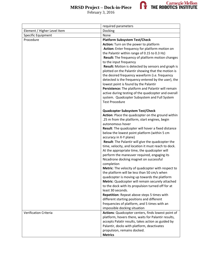



February 3, 2016

|                             | required parameters                                                                                      |
|-----------------------------|----------------------------------------------------------------------------------------------------------|
| Element / Higher Level Item | Docking                                                                                                  |
| Specific Equipment          | None                                                                                                     |
| Procedure                   | <b>Platform Subsystem Test/Check</b>                                                                     |
|                             | Action: Turn on the power to platform                                                                    |
|                             | Action: Enter frequency for platform motion on                                                           |
|                             | the Palantir within range of 0.15 to 0.3 Hz)                                                             |
|                             | Result: The frequency of platform motion changes                                                         |
|                             | to the input frequency                                                                                   |
|                             | Result: Motion is detected by sensors and graph is<br>plotted on the Palantir showing that the motion is |
|                             | the desired frequency waveform (i.e. frequency                                                           |
|                             | detected is the frequency entered by the user), the                                                      |
|                             | lowest point is found by the Palantir                                                                    |
|                             | Persistence: The platform and Palantir will remain                                                       |
|                             | active during testing of the quadcopter and overall                                                      |
|                             | system. Quadcopter Subsystem and Full System                                                             |
|                             | <b>Test Procedure</b>                                                                                    |
|                             |                                                                                                          |
|                             | Quadcopter Subsystem Test/Check                                                                          |
|                             | Action: Place the quadcopter on the ground within                                                        |
|                             | .25 m from the platform, start engines, begin<br>autonomous hover                                        |
|                             | Result: The quadcopter will hover a fixed distance                                                       |
|                             | below the lowest point platform (within 5 cm                                                             |
|                             | accuracy in X-Y plane)                                                                                   |
|                             | Result: The Palantir will give the quadcopter the                                                        |
|                             | time, velocity, and location it must reach to dock.                                                      |
|                             | At the appropriate time, the quadcopter will                                                             |
|                             | perform the maneuver required, engaging its                                                              |
|                             | Nicadrone docking magnet on successful                                                                   |
|                             | completion                                                                                               |
|                             | Metric: The velocity of quadcopter with respect to                                                       |
|                             | the platform will be less than 50 cm/s when<br>quadcopter is moving up towards the platform              |
|                             | Metric: Quadcopter will remain securely attached                                                         |
|                             | to the dock with its propulsion turned off for at                                                        |
|                             | least 30 seconds.                                                                                        |
|                             | Repetition: Repeat above steps 5 times with                                                              |
|                             | different starting positions and different                                                               |
|                             | frequencies of platform, and 5 times with an                                                             |
|                             | impossible docking situation                                                                             |
| Verification Criteria       | Actions: Quadcopter centers, finds lowest point of                                                       |
|                             | platform, hovers there, waits for Palantir results,                                                      |
|                             | accepts Palatir results, takes action as guided by                                                       |
|                             | Palantir, docks with platform, deactivates                                                               |
|                             | propulsion, remains docked.<br><b>Metrics</b>                                                            |
|                             |                                                                                                          |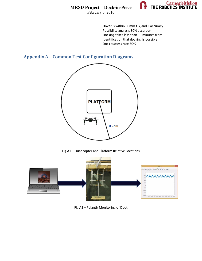February 3, 2016



| Hover is within 50mm X, Y, and Z accuracy |
|-------------------------------------------|
| Possibility analysis 80% accuracy.        |
| Docking takes less than 10 minutes from   |
| identification that docking is possible.  |
| Dock success rate 60%                     |

# **Appendix A – Common Test Configuration Diagrams**



Fig A1 – Quadcopter and Platform Relative Locations